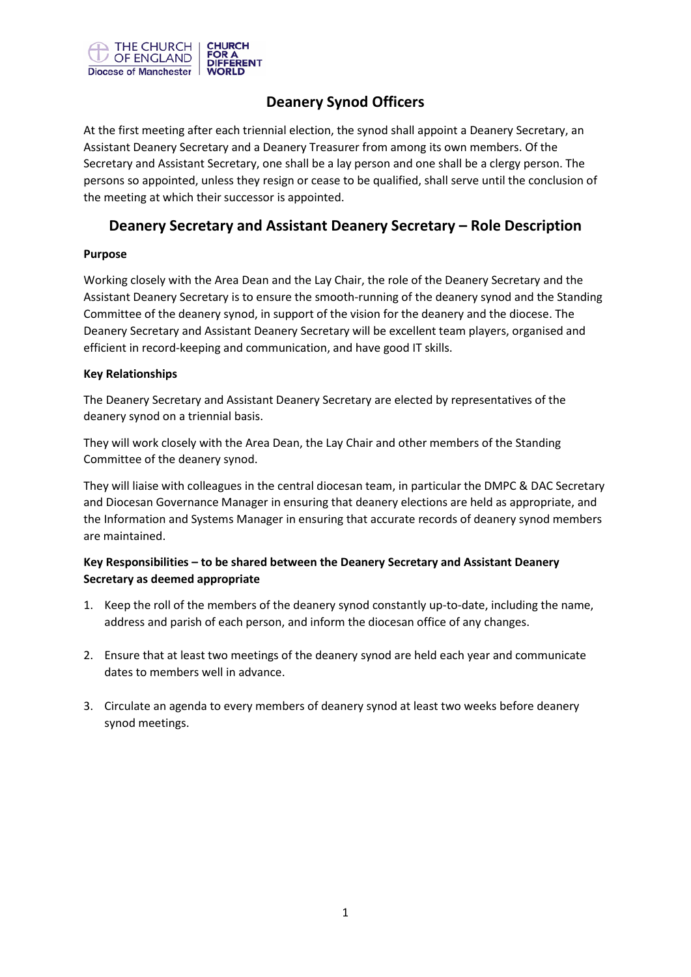

## **Deanery Synod Officers**

At the first meeting after each triennial election, the synod shall appoint a Deanery Secretary, an Assistant Deanery Secretary and a Deanery Treasurer from among its own members. Of the Secretary and Assistant Secretary, one shall be a lay person and one shall be a clergy person. The persons so appointed, unless they resign or cease to be qualified, shall serve until the conclusion of the meeting at which their successor is appointed.

## **Deanery Secretary and Assistant Deanery Secretary – Role Description**

### **Purpose**

Working closely with the Area Dean and the Lay Chair, the role of the Deanery Secretary and the Assistant Deanery Secretary is to ensure the smooth-running of the deanery synod and the Standing Committee of the deanery synod, in support of the vision for the deanery and the diocese. The Deanery Secretary and Assistant Deanery Secretary will be excellent team players, organised and efficient in record-keeping and communication, and have good IT skills.

### **Key Relationships**

The Deanery Secretary and Assistant Deanery Secretary are elected by representatives of the deanery synod on a triennial basis.

They will work closely with the Area Dean, the Lay Chair and other members of the Standing Committee of the deanery synod.

They will liaise with colleagues in the central diocesan team, in particular the DMPC & DAC Secretary and Diocesan Governance Manager in ensuring that deanery elections are held as appropriate, and the Information and Systems Manager in ensuring that accurate records of deanery synod members are maintained.

### **Key Responsibilities – to be shared between the Deanery Secretary and Assistant Deanery Secretary as deemed appropriate**

- 1. Keep the roll of the members of the deanery synod constantly up-to-date, including the name, address and parish of each person, and inform the diocesan office of any changes.
- 2. Ensure that at least two meetings of the deanery synod are held each year and communicate dates to members well in advance.
- 3. Circulate an agenda to every members of deanery synod at least two weeks before deanery synod meetings.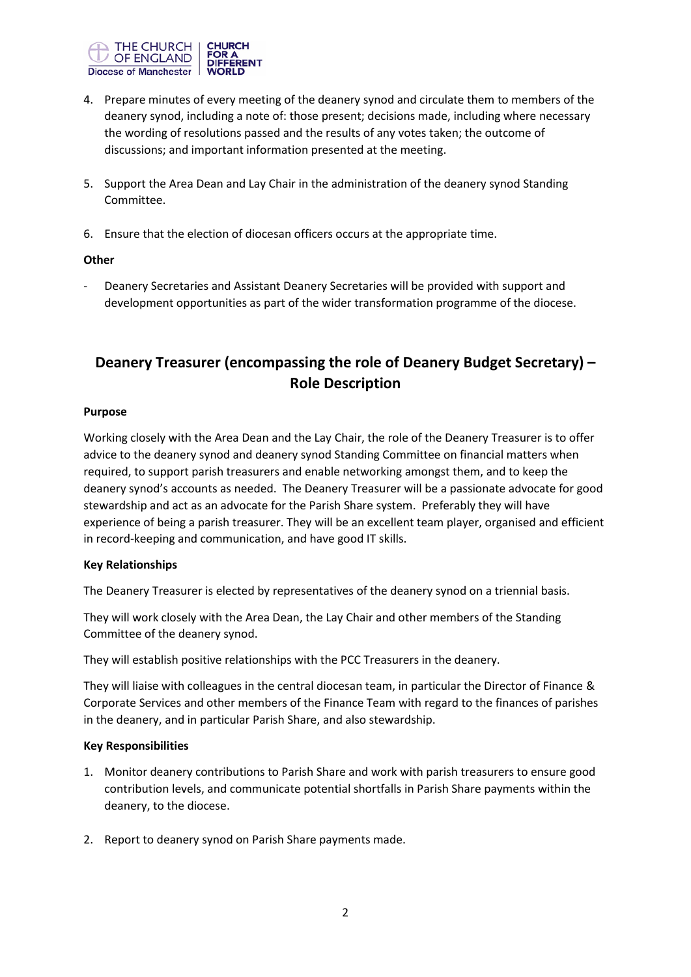

- 4. Prepare minutes of every meeting of the deanery synod and circulate them to members of the deanery synod, including a note of: those present; decisions made, including where necessary the wording of resolutions passed and the results of any votes taken; the outcome of discussions; and important information presented at the meeting.
- 5. Support the Area Dean and Lay Chair in the administration of the deanery synod Standing Committee.
- 6. Ensure that the election of diocesan officers occurs at the appropriate time.

### **Other**

- Deanery Secretaries and Assistant Deanery Secretaries will be provided with support and development opportunities as part of the wider transformation programme of the diocese.

# **Deanery Treasurer (encompassing the role of Deanery Budget Secretary) – Role Description**

### **Purpose**

Working closely with the Area Dean and the Lay Chair, the role of the Deanery Treasurer is to offer advice to the deanery synod and deanery synod Standing Committee on financial matters when required, to support parish treasurers and enable networking amongst them, and to keep the deanery synod's accounts as needed. The Deanery Treasurer will be a passionate advocate for good stewardship and act as an advocate for the Parish Share system. Preferably they will have experience of being a parish treasurer. They will be an excellent team player, organised and efficient in record-keeping and communication, and have good IT skills.

### **Key Relationships**

The Deanery Treasurer is elected by representatives of the deanery synod on a triennial basis.

They will work closely with the Area Dean, the Lay Chair and other members of the Standing Committee of the deanery synod.

They will establish positive relationships with the PCC Treasurers in the deanery.

They will liaise with colleagues in the central diocesan team, in particular the Director of Finance & Corporate Services and other members of the Finance Team with regard to the finances of parishes in the deanery, and in particular Parish Share, and also stewardship.

### **Key Responsibilities**

- 1. Monitor deanery contributions to Parish Share and work with parish treasurers to ensure good contribution levels, and communicate potential shortfalls in Parish Share payments within the deanery, to the diocese.
- 2. Report to deanery synod on Parish Share payments made.